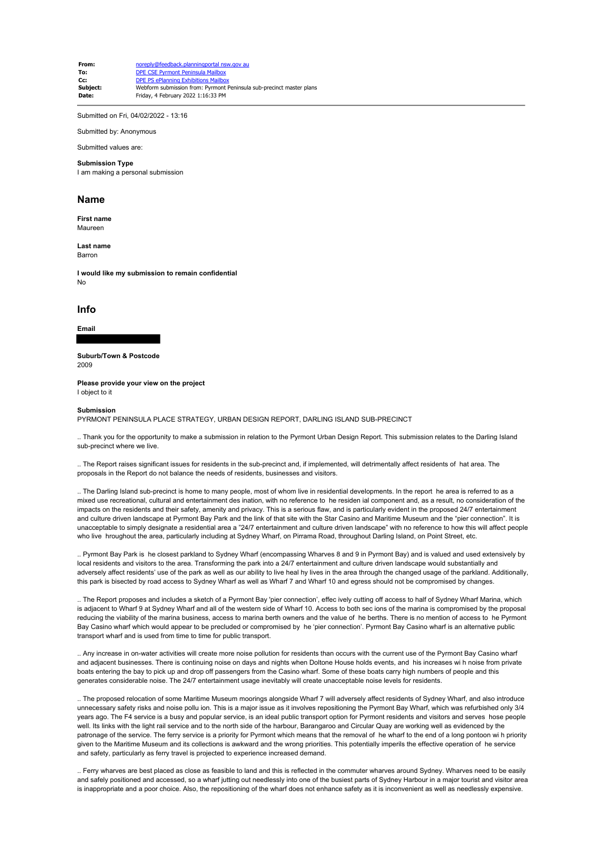**From:** noreply@feedback.planningportal nsw.gov au **To:** DPE CSE Pyrmont Peninsula Mailbox **Cc:** DPE PS ePlanning Exhibitions Mailbox<br> **Subject:** Webform submission from: Pyrmont **Subject:** Webform submission from: Pyrmont Peninsula sub-precinct master plans<br> **Date:** Friday 4 February 2022 1:16:33 PM **Date:** Friday, 4 February 2022 1:16:33 PM

Submitted on Fri, 04/02/2022 - 13:16

Submitted by: Anonymous

Submitted values are:

### **Submission Type**

I am making a personal submission

## **Name**

**First name** Maureen

**Last name** Barron

**I would like my submission to remain confidential** No

# **Info**

**Email**

**Suburb/Town & Postcode**

2009

**Please provide your view on the project** I object to it

#### **Submission**

PYRMONT PENINSULA PLACE STRATEGY, URBAN DESIGN REPORT, DARLING ISLAND SUB-PRECINCT

.. Thank you for the opportunity to make a submission in relation to the Pyrmont Urban Design Report. This submission relates to the Darling Island sub-precinct where we live.

.. The Report raises significant issues for residents in the sub-precinct and, if implemented, will detrimentally affect residents of hat area. The proposals in the Report do not balance the needs of residents, businesses and visitors.

.. The Darling Island sub-precinct is home to many people, most of whom live in residential developments. In the report he area is referred to as a mixed use recreational, cultural and entertainment des ination, with no reference to he residen ial component and, as a result, no consideration of the impacts on the residents and their safety, amenity and privacy. This is a serious flaw, and is particularly evident in the proposed 24/7 entertainment and culture driven landscape at Pyrmont Bay Park and the link of that site with the Star Casino and Maritime Museum and the "pier connection". It is unacceptable to simply designate a residential area a "24/7 entertainment and culture driven landscape" with no reference to how this will affect people who live hroughout the area, particularly including at Sydney Wharf, on Pirrama Road, throughout Darling Island, on Point Street, etc.

.. Pyrmont Bay Park is he closest parkland to Sydney Wharf (encompassing Wharves 8 and 9 in Pyrmont Bay) and is valued and used extensively by local residents and visitors to the area. Transforming the park into a 24/7 entertainment and culture driven landscape would substantially and adversely affect residents' use of the park as well as our ability to live heal hy lives in the area through the changed usage of the parkland. Additionally, this park is bisected by road access to Sydney Wharf as well as Wharf 7 and Wharf 10 and egress should not be compromised by changes.

.. The Report proposes and includes a sketch of a Pyrmont Bay 'pier connection', effec ively cutting off access to half of Sydney Wharf Marina, which is adjacent to Wharf 9 at Sydney Wharf and all of the western side of Wharf 10. Access to both sec ions of the marina is compromised by the proposal reducing the viability of the marina business, access to marina berth owners and the value of he berths. There is no mention of access to he Pyrmont Bay Casino wharf which would appear to be precluded or compromised by he 'pier connection'. Pyrmont Bay Casino wharf is an alternative public transport wharf and is used from time to time for public transport.

.. Any increase in on-water activities will create more noise pollution for residents than occurs with the current use of the Pyrmont Bay Casino wharf and adjacent businesses. There is continuing noise on days and nights when Doltone House holds events, and his increases wi h noise from private boats entering the bay to pick up and drop off passengers from the Casino wharf. Some of these boats carry high numbers of people and this generates considerable noise. The 24/7 entertainment usage inevitably will create unacceptable noise levels for residents.

.. The proposed relocation of some Maritime Museum moorings alongside Wharf 7 will adversely affect residents of Sydney Wharf, and also introduce unnecessary safety risks and noise pollu ion. This is a major issue as it involves repositioning the Pyrmont Bay Wharf, which was refurbished only 3/4 years ago. The F4 service is a busy and popular service, is an ideal public transport option for Pyrmont residents and visitors and serves hose people well. Its links with the light rail service and to the north side of the harbour, Barangaroo and Circular Quay are working well as evidenced by the patronage of the service. The ferry service is a priority for Pyrmont which means that the removal of he wharf to the end of a long pontoon wi h priority given to the Maritime Museum and its collections is awkward and the wrong priorities. This potentially imperils the effective operation of he service and safety, particularly as ferry travel is projected to experience increased demand.

.. Ferry wharves are best placed as close as feasible to land and this is reflected in the commuter wharves around Sydney. Wharves need to be easily and safely positioned and accessed, so a wharf jutting out needlessly into one of the busiest parts of Sydney Harbour in a major tourist and visitor area is inappropriate and a poor choice. Also, the repositioning of the wharf does not enhance safety as it is inconvenient as well as needlessly expensive.